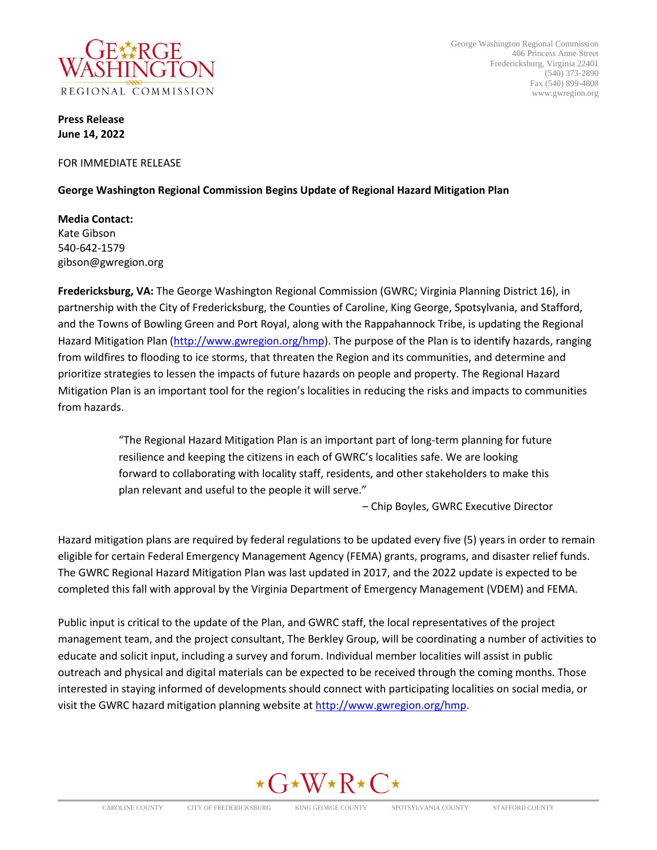

George Washington Regional Commission 406 Princess Anne Street Fredericksburg, Virginia 22401 (540) 373-2890 Fax (540) 899-4808 www.gwregion.org

**Press Release June 14, 2022**

FOR IMMEDIATE RELEASE

## **George Washington Regional Commission Begins Update of Regional Hazard Mitigation Plan**

**Media Contact:** Kate Gibson 540-642-1579 gibson@gwregion.org

**Fredericksburg, VA:** The George Washington Regional Commission (GWRC; Virginia Planning District 16), in partnership with the City of Fredericksburg, the Counties of Caroline, King George, Spotsylvania, and Stafford, and the Towns of Bowling Green and Port Royal, along with the Rappahannock Tribe, is updating the Regional Hazard Mitigation Plan [\(http://www.gwregion.org/hmp\)](http://www.gwregion.org/hmp). The purpose of the Plan is to identify hazards, ranging from wildfires to flooding to ice storms, that threaten the Region and its communities, and determine and prioritize strategies to lessen the impacts of future hazards on people and property. The Regional Hazard Mitigation Plan is an important tool for the region's localities in reducing the risks and impacts to communities from hazards.

> "The Regional Hazard Mitigation Plan is an important part of long-term planning for future resilience and keeping the citizens in each of GWRC's localities safe. We are looking forward to collaborating with locality staff, residents, and other stakeholders to make this plan relevant and useful to the people it will serve."

> > – Chip Boyles, GWRC Executive Director

Hazard mitigation plans are required by federal regulations to be updated every five (5) years in order to remain eligible for certain Federal Emergency Management Agency (FEMA) grants, programs, and disaster relief funds. The GWRC Regional Hazard Mitigation Plan was last updated in 2017, and the 2022 update is expected to be completed this fall with approval by the Virginia Department of Emergency Management (VDEM) and FEMA.

Public input is critical to the update of the Plan, and GWRC staff, the local representatives of the project management team, and the project consultant, The Berkley Group, will be coordinating a number of activities to educate and solicit input, including a survey and forum. Individual member localities will assist in public outreach and physical and digital materials can be expected to be received through the coming months. Those interested in staying informed of developments should connect with participating localities on social media, or visit the GWRC hazard mitigation planning website at [http://www.gwregion.org/hmp.](http://www.gwregion.org/hmp)